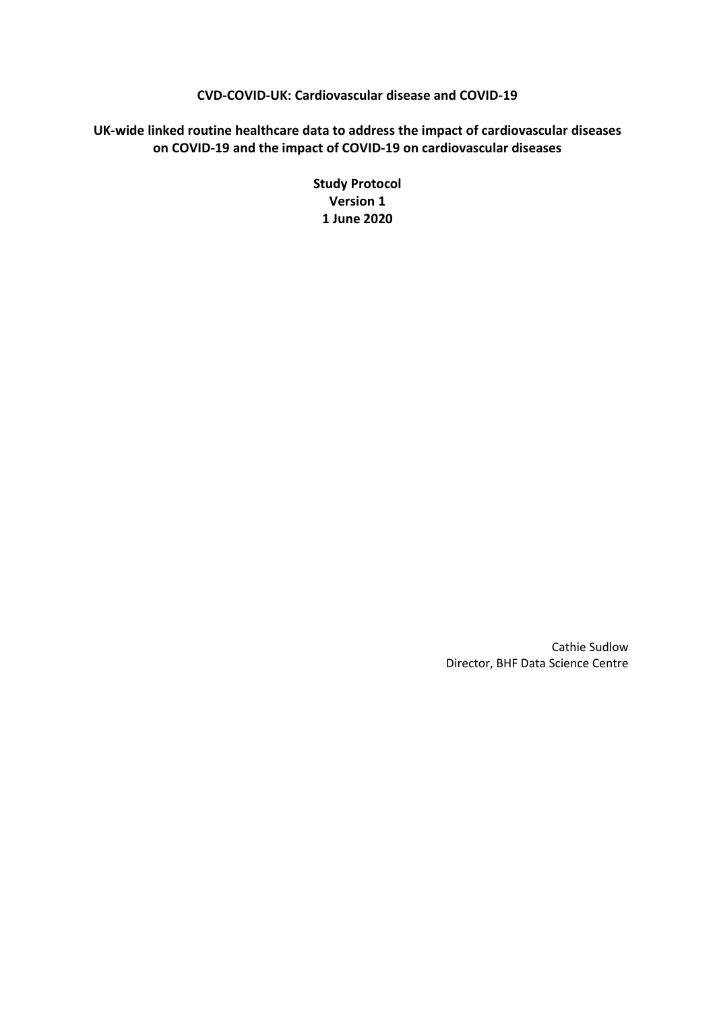# **CVD-COVID-UK: Cardiovascular disease and COVID-19**

# **UK-wide linked routine healthcare data to address the impact of cardiovascular diseases on COVID-19 and the impact of COVID-19 on cardiovascular diseases**

**Study Protocol Version 1 1 June 2020**

> Cathie Sudlow Director, BHF Data Science Centre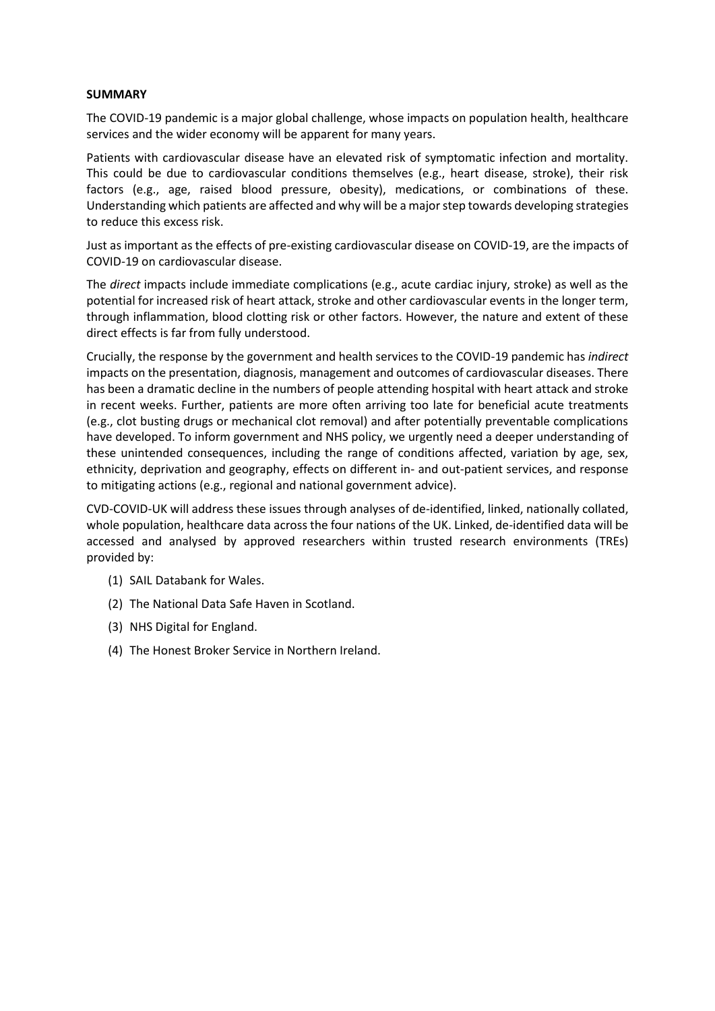## **SUMMARY**

The COVID-19 pandemic is a major global challenge, whose impacts on population health, healthcare services and the wider economy will be apparent for many years.

Patients with cardiovascular disease have an elevated risk of symptomatic infection and mortality. This could be due to cardiovascular conditions themselves (e.g., heart disease, stroke), their risk factors (e.g., age, raised blood pressure, obesity), medications, or combinations of these. Understanding which patients are affected and why will be a major step towards developing strategies to reduce this excess risk.

Just as important as the effects of pre-existing cardiovascular disease on COVID-19, are the impacts of COVID-19 on cardiovascular disease.

The *direct* impacts include immediate complications (e.g., acute cardiac injury, stroke) as well as the potential for increased risk of heart attack, stroke and other cardiovascular events in the longer term, through inflammation, blood clotting risk or other factors. However, the nature and extent of these direct effects is far from fully understood.

Crucially, the response by the government and health services to the COVID-19 pandemic has *indirect* impacts on the presentation, diagnosis, management and outcomes of cardiovascular diseases. There has been a dramatic decline in the numbers of people attending hospital with heart attack and stroke in recent weeks. Further, patients are more often arriving too late for beneficial acute treatments (e.g., clot busting drugs or mechanical clot removal) and after potentially preventable complications have developed. To inform government and NHS policy, we urgently need a deeper understanding of these unintended consequences, including the range of conditions affected, variation by age, sex, ethnicity, deprivation and geography, effects on different in- and out-patient services, and response to mitigating actions (e.g., regional and national government advice).

CVD-COVID-UK will address these issues through analyses of de-identified, linked, nationally collated, whole population, healthcare data across the four nations of the UK. Linked, de-identified data will be accessed and analysed by approved researchers within trusted research environments (TREs) provided by:

- (1) SAIL Databank for Wales.
- (2) The National Data Safe Haven in Scotland.
- (3) NHS Digital for England.
- (4) The Honest Broker Service in Northern Ireland.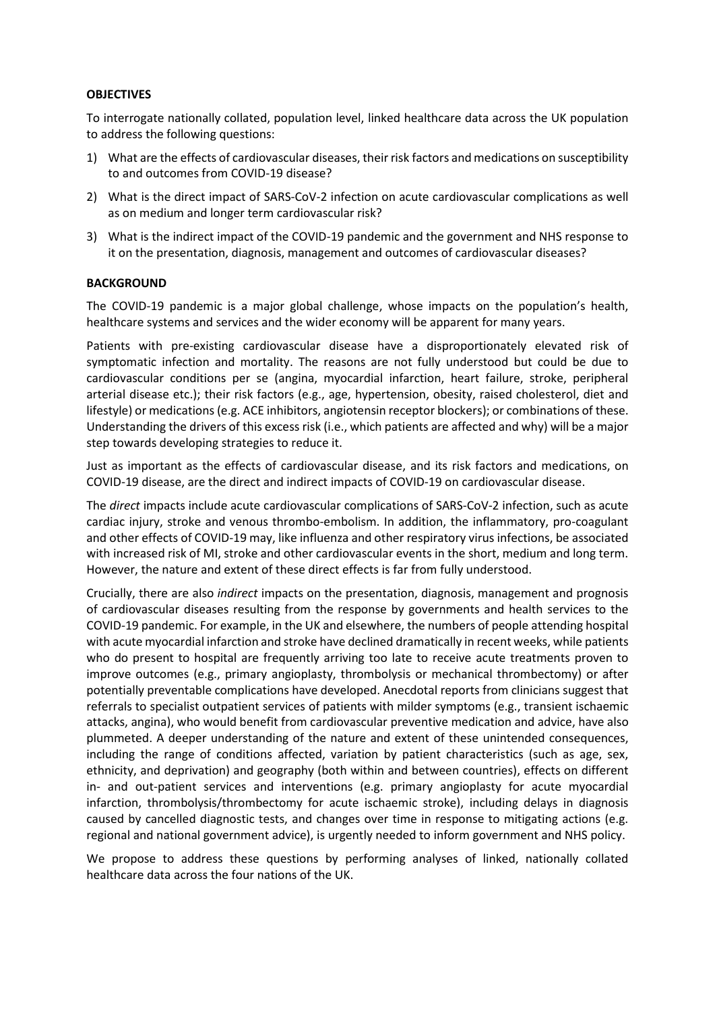#### **OBJECTIVES**

To interrogate nationally collated, population level, linked healthcare data across the UK population to address the following questions:

- 1) What are the effects of cardiovascular diseases, their risk factors and medications on susceptibility to and outcomes from COVID-19 disease?
- 2) What is the direct impact of SARS-CoV-2 infection on acute cardiovascular complications as well as on medium and longer term cardiovascular risk?
- 3) What is the indirect impact of the COVID-19 pandemic and the government and NHS response to it on the presentation, diagnosis, management and outcomes of cardiovascular diseases?

#### **BACKGROUND**

The COVID-19 pandemic is a major global challenge, whose impacts on the population's health, healthcare systems and services and the wider economy will be apparent for many years.

Patients with pre-existing cardiovascular disease have a disproportionately elevated risk of symptomatic infection and mortality. The reasons are not fully understood but could be due to cardiovascular conditions per se (angina, myocardial infarction, heart failure, stroke, peripheral arterial disease etc.); their risk factors (e.g., age, hypertension, obesity, raised cholesterol, diet and lifestyle) or medications (e.g. ACE inhibitors, angiotensin receptor blockers); or combinations of these. Understanding the drivers of this excess risk (i.e., which patients are affected and why) will be a major step towards developing strategies to reduce it.

Just as important as the effects of cardiovascular disease, and its risk factors and medications, on COVID-19 disease, are the direct and indirect impacts of COVID-19 on cardiovascular disease.

The *direct* impacts include acute cardiovascular complications of SARS-CoV-2 infection, such as acute cardiac injury, stroke and venous thrombo-embolism. In addition, the inflammatory, pro-coagulant and other effects of COVID-19 may, like influenza and other respiratory virus infections, be associated with increased risk of MI, stroke and other cardiovascular events in the short, medium and long term. However, the nature and extent of these direct effects is far from fully understood.

Crucially, there are also *indirect* impacts on the presentation, diagnosis, management and prognosis of cardiovascular diseases resulting from the response by governments and health services to the COVID-19 pandemic. For example, in the UK and elsewhere, the numbers of people attending hospital with acute myocardial infarction and stroke have declined dramatically in recent weeks, while patients who do present to hospital are frequently arriving too late to receive acute treatments proven to improve outcomes (e.g., primary angioplasty, thrombolysis or mechanical thrombectomy) or after potentially preventable complications have developed. Anecdotal reports from clinicians suggest that referrals to specialist outpatient services of patients with milder symptoms (e.g., transient ischaemic attacks, angina), who would benefit from cardiovascular preventive medication and advice, have also plummeted. A deeper understanding of the nature and extent of these unintended consequences, including the range of conditions affected, variation by patient characteristics (such as age, sex, ethnicity, and deprivation) and geography (both within and between countries), effects on different in- and out-patient services and interventions (e.g. primary angioplasty for acute myocardial infarction, thrombolysis/thrombectomy for acute ischaemic stroke), including delays in diagnosis caused by cancelled diagnostic tests, and changes over time in response to mitigating actions (e.g. regional and national government advice), is urgently needed to inform government and NHS policy.

We propose to address these questions by performing analyses of linked, nationally collated healthcare data across the four nations of the UK.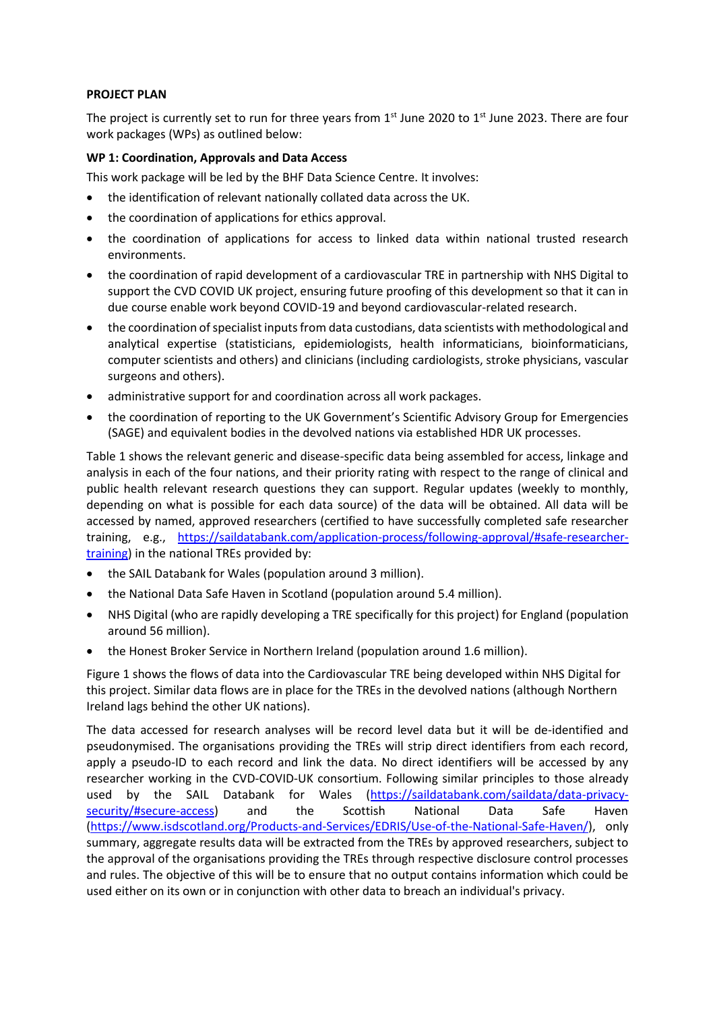## **PROJECT PLAN**

The project is currently set to run for three years from  $1<sup>st</sup>$  June 2020 to  $1<sup>st</sup>$  June 2023. There are four work packages (WPs) as outlined below:

# **WP 1: Coordination, Approvals and Data Access**

This work package will be led by the BHF Data Science Centre. It involves:

- the identification of relevant nationally collated data across the UK.
- the coordination of applications for ethics approval.
- the coordination of applications for access to linked data within national trusted research environments.
- the coordination of rapid development of a cardiovascular TRE in partnership with NHS Digital to support the CVD COVID UK project, ensuring future proofing of this development so that it can in due course enable work beyond COVID-19 and beyond cardiovascular-related research.
- the coordination ofspecialist inputs from data custodians, data scientists with methodological and analytical expertise (statisticians, epidemiologists, health informaticians, bioinformaticians, computer scientists and others) and clinicians (including cardiologists, stroke physicians, vascular surgeons and others).
- administrative support for and coordination across all work packages.
- the coordination of reporting to the UK Government's Scientific Advisory Group for Emergencies (SAGE) and equivalent bodies in the devolved nations via established HDR UK processes.

Table 1 shows the relevant generic and disease-specific data being assembled for access, linkage and analysis in each of the four nations, and their priority rating with respect to the range of clinical and public health relevant research questions they can support. Regular updates (weekly to monthly, depending on what is possible for each data source) of the data will be obtained. All data will be accessed by named, approved researchers (certified to have successfully completed safe researcher training, e.g., [https://saildatabank.com/application-process/following-approval/#safe-researcher](https://saildatabank.com/application-process/following-approval/#safe-researcher-training)[training\)](https://saildatabank.com/application-process/following-approval/#safe-researcher-training) in the national TREs provided by:

- the SAIL Databank for Wales (population around 3 million).
- the National Data Safe Haven in Scotland (population around 5.4 million).
- NHS Digital (who are rapidly developing a TRE specifically for this project) for England (population around 56 million).
- the Honest Broker Service in Northern Ireland (population around 1.6 million).

Figure 1 shows the flows of data into the Cardiovascular TRE being developed within NHS Digital for this project. Similar data flows are in place for the TREs in the devolved nations (although Northern Ireland lags behind the other UK nations).

The data accessed for research analyses will be record level data but it will be de-identified and pseudonymised. The organisations providing the TREs will strip direct identifiers from each record, apply a pseudo-ID to each record and link the data. No direct identifiers will be accessed by any researcher working in the CVD-COVID-UK consortium. Following similar principles to those already used by the SAIL Databank for Wales [\(https://saildatabank.com/saildata/data-privacy](https://saildatabank.com/saildata/data-privacy-security/#secure-access)[security/#secure-access\)](https://saildatabank.com/saildata/data-privacy-security/#secure-access) and the Scottish National Data Safe Haven [\(https://www.isdscotland.org/Products-and-Services/EDRIS/Use-of-the-National-Safe-Haven/\)](https://www.isdscotland.org/Products-and-Services/EDRIS/Use-of-the-National-Safe-Haven/), only summary, aggregate results data will be extracted from the TREs by approved researchers, subject to the approval of the organisations providing the TREs through respective disclosure control processes and rules. The objective of this will be to ensure that no output contains information which could be used either on its own or in conjunction with other data to breach an individual's privacy.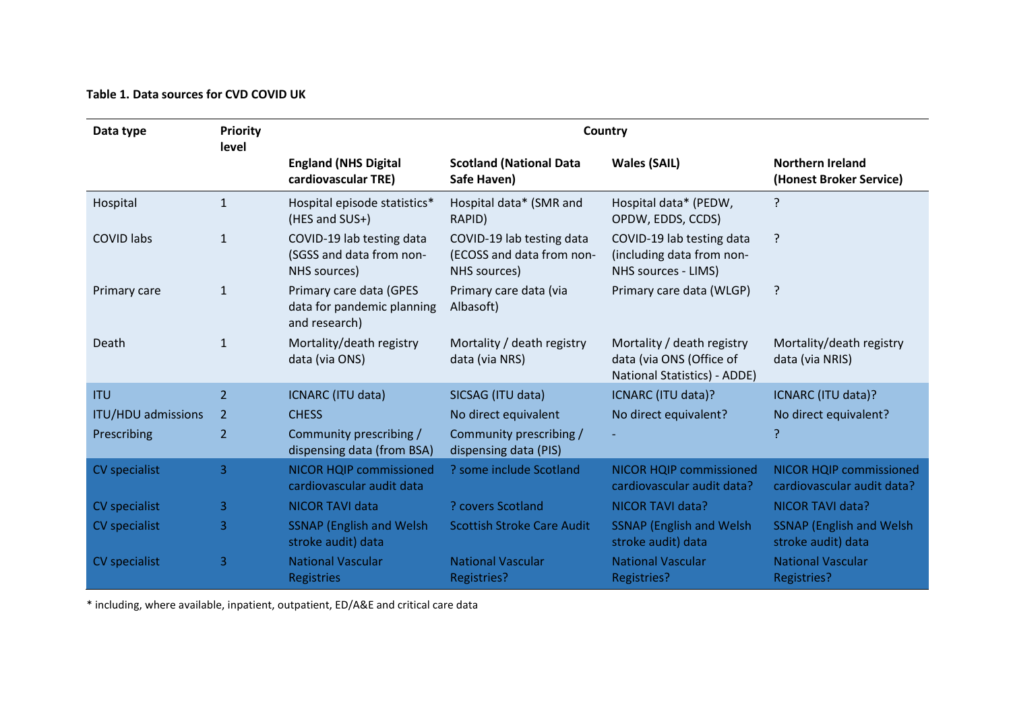# **Table 1. Data sources for CVD COVID UK**

| Data type                 | <b>Priority</b><br>level | Country                                                                |                                                                        |                                                                                        |                                                              |
|---------------------------|--------------------------|------------------------------------------------------------------------|------------------------------------------------------------------------|----------------------------------------------------------------------------------------|--------------------------------------------------------------|
|                           |                          | <b>England (NHS Digital</b><br>cardiovascular TRE)                     | <b>Scotland (National Data</b><br>Safe Haven)                          | <b>Wales (SAIL)</b>                                                                    | <b>Northern Ireland</b><br>(Honest Broker Service)           |
| Hospital                  | $\mathbf{1}$             | Hospital episode statistics*<br>(HES and SUS+)                         | Hospital data* (SMR and<br>RAPID)                                      | Hospital data* (PEDW,<br>OPDW, EDDS, CCDS)                                             | ?                                                            |
| <b>COVID labs</b>         | $\mathbf{1}$             | COVID-19 lab testing data<br>(SGSS and data from non-<br>NHS sources)  | COVID-19 lab testing data<br>(ECOSS and data from non-<br>NHS sources) | COVID-19 lab testing data<br>(including data from non-<br>NHS sources - LIMS)          | ?                                                            |
| Primary care              | $\mathbf{1}$             | Primary care data (GPES<br>data for pandemic planning<br>and research) | Primary care data (via<br>Albasoft)                                    | Primary care data (WLGP)                                                               | ?                                                            |
| Death                     | $\mathbf{1}$             | Mortality/death registry<br>data (via ONS)                             | Mortality / death registry<br>data (via NRS)                           | Mortality / death registry<br>data (via ONS (Office of<br>National Statistics) - ADDE) | Mortality/death registry<br>data (via NRIS)                  |
| <b>ITU</b>                | 2 <sup>1</sup>           | ICNARC (ITU data)                                                      | SICSAG (ITU data)                                                      | ICNARC (ITU data)?                                                                     | ICNARC (ITU data)?                                           |
| <b>ITU/HDU admissions</b> | 2                        | <b>CHESS</b>                                                           | No direct equivalent                                                   | No direct equivalent?                                                                  | No direct equivalent?                                        |
| Prescribing               | $\overline{2}$           | Community prescribing /<br>dispensing data (from BSA)                  | Community prescribing /<br>dispensing data (PIS)                       |                                                                                        | ?                                                            |
| CV specialist             | 3                        | <b>NICOR HQIP commissioned</b><br>cardiovascular audit data            | ? some include Scotland                                                | <b>NICOR HQIP commissioned</b><br>cardiovascular audit data?                           | <b>NICOR HQIP commissioned</b><br>cardiovascular audit data? |
| CV specialist             | 3                        | <b>NICOR TAVI data</b>                                                 | ? covers Scotland                                                      | NICOR TAVI data?                                                                       | NICOR TAVI data?                                             |
| CV specialist             | 3                        | <b>SSNAP (English and Welsh)</b><br>stroke audit) data                 | <b>Scottish Stroke Care Audit</b>                                      | <b>SSNAP (English and Welsh)</b><br>stroke audit) data                                 | <b>SSNAP</b> (English and Welsh)<br>stroke audit) data       |
| CV specialist             | 3                        | <b>National Vascular</b><br><b>Registries</b>                          | <b>National Vascular</b><br><b>Registries?</b>                         | <b>National Vascular</b><br><b>Registries?</b>                                         | <b>National Vascular</b><br>Registries?                      |

\* including, where available, inpatient, outpatient, ED/A&E and critical care data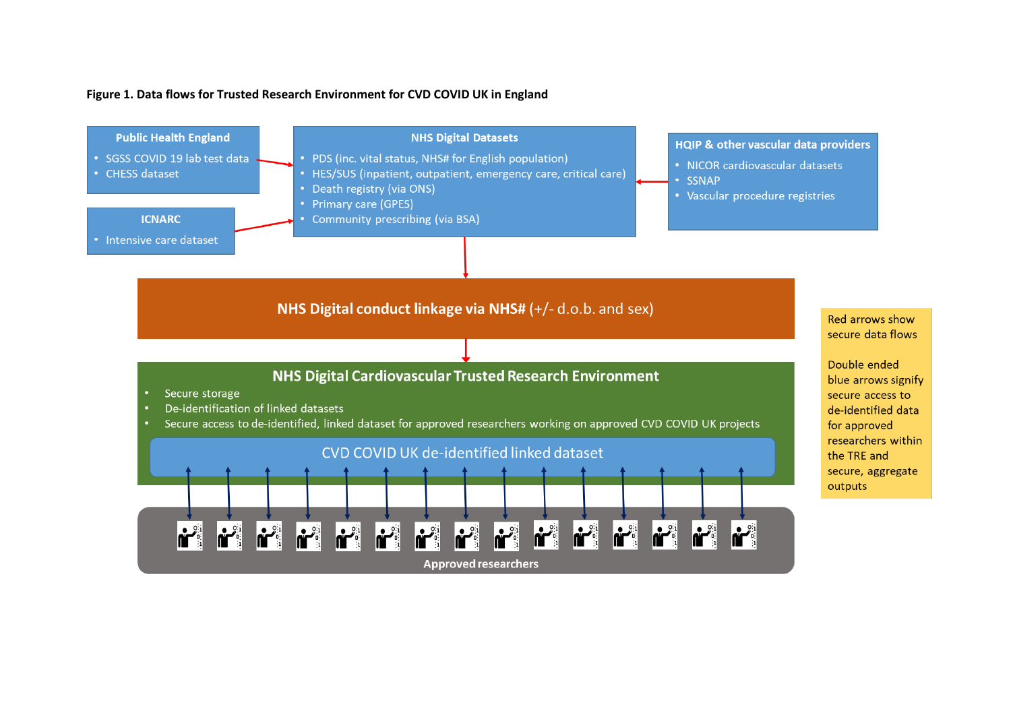## **Figure 1. Data flows for Trusted Research Environment for CVD COVID UK in England**

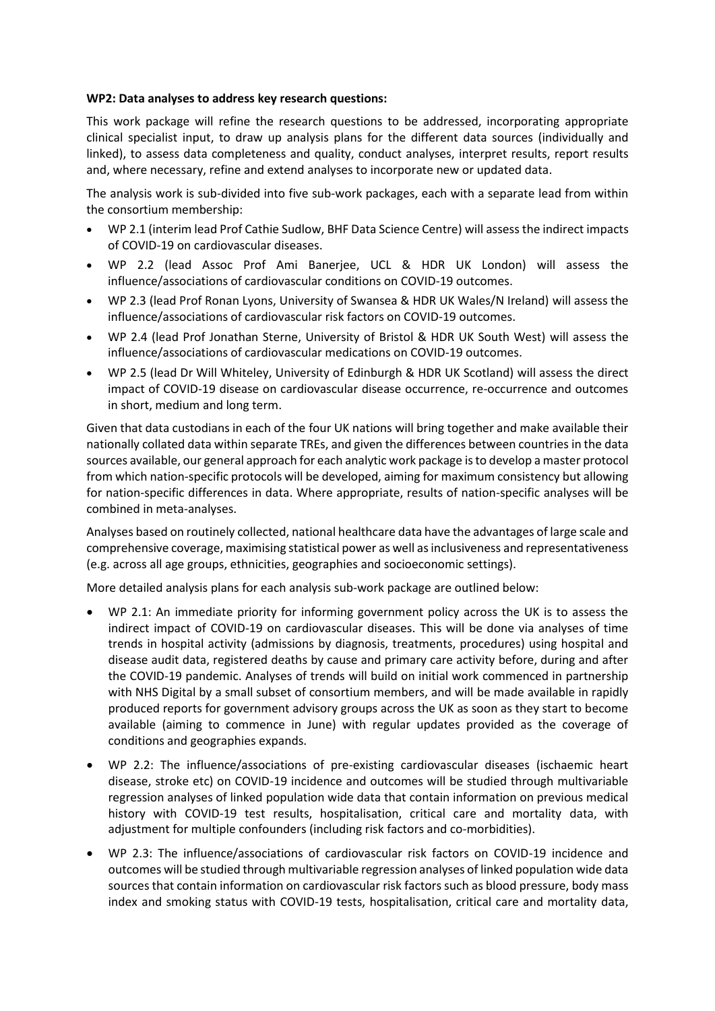## **WP2: Data analyses to address key research questions:**

This work package will refine the research questions to be addressed, incorporating appropriate clinical specialist input, to draw up analysis plans for the different data sources (individually and linked), to assess data completeness and quality, conduct analyses, interpret results, report results and, where necessary, refine and extend analyses to incorporate new or updated data.

The analysis work is sub-divided into five sub-work packages, each with a separate lead from within the consortium membership:

- WP 2.1 (interim lead Prof Cathie Sudlow, BHF Data Science Centre) will assess the indirect impacts of COVID-19 on cardiovascular diseases.
- WP 2.2 (lead Assoc Prof Ami Banerjee, UCL & HDR UK London) will assess the influence/associations of cardiovascular conditions on COVID-19 outcomes.
- WP 2.3 (lead Prof Ronan Lyons, University of Swansea & HDR UK Wales/N Ireland) will assess the influence/associations of cardiovascular risk factors on COVID-19 outcomes.
- WP 2.4 (lead Prof Jonathan Sterne, University of Bristol & HDR UK South West) will assess the influence/associations of cardiovascular medications on COVID-19 outcomes.
- WP 2.5 (lead Dr Will Whiteley, University of Edinburgh & HDR UK Scotland) will assess the direct impact of COVID-19 disease on cardiovascular disease occurrence, re-occurrence and outcomes in short, medium and long term.

Given that data custodians in each of the four UK nations will bring together and make available their nationally collated data within separate TREs, and given the differences between countries in the data sources available, our general approach for each analytic work package is to develop a master protocol from which nation-specific protocols will be developed, aiming for maximum consistency but allowing for nation-specific differences in data. Where appropriate, results of nation-specific analyses will be combined in meta-analyses.

Analyses based on routinely collected, national healthcare data have the advantages of large scale and comprehensive coverage, maximising statistical power as well as inclusiveness and representativeness (e.g. across all age groups, ethnicities, geographies and socioeconomic settings).

More detailed analysis plans for each analysis sub-work package are outlined below:

- WP 2.1: An immediate priority for informing government policy across the UK is to assess the indirect impact of COVID-19 on cardiovascular diseases. This will be done via analyses of time trends in hospital activity (admissions by diagnosis, treatments, procedures) using hospital and disease audit data, registered deaths by cause and primary care activity before, during and after the COVID-19 pandemic. Analyses of trends will build on initial work commenced in partnership with NHS Digital by a small subset of consortium members, and will be made available in rapidly produced reports for government advisory groups across the UK as soon as they start to become available (aiming to commence in June) with regular updates provided as the coverage of conditions and geographies expands.
- WP 2.2: The influence/associations of pre-existing cardiovascular diseases (ischaemic heart disease, stroke etc) on COVID-19 incidence and outcomes will be studied through multivariable regression analyses of linked population wide data that contain information on previous medical history with COVID-19 test results, hospitalisation, critical care and mortality data, with adjustment for multiple confounders (including risk factors and co-morbidities).
- WP 2.3: The influence/associations of cardiovascular risk factors on COVID-19 incidence and outcomes will be studied through multivariable regression analyses of linked population wide data sources that contain information on cardiovascular risk factors such as blood pressure, body mass index and smoking status with COVID-19 tests, hospitalisation, critical care and mortality data,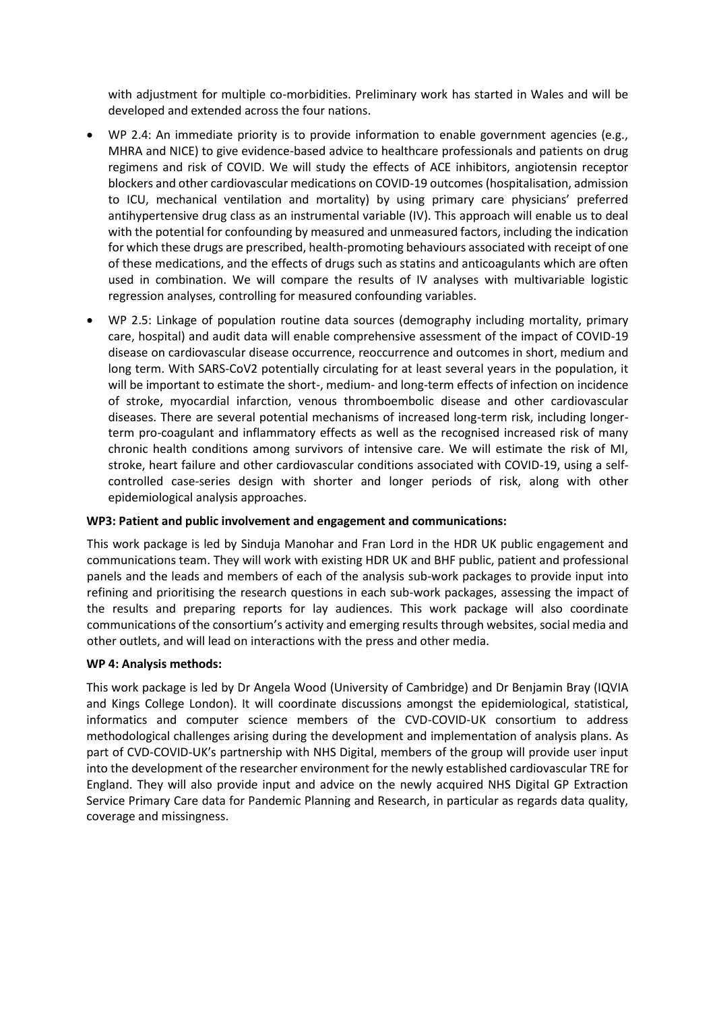with adjustment for multiple co-morbidities. Preliminary work has started in Wales and will be developed and extended across the four nations.

- WP 2.4: An immediate priority is to provide information to enable government agencies (e.g., MHRA and NICE) to give evidence-based advice to healthcare professionals and patients on drug regimens and risk of COVID. We will study the effects of ACE inhibitors, angiotensin receptor blockers and other cardiovascular medications on COVID-19 outcomes (hospitalisation, admission to ICU, mechanical ventilation and mortality) by using primary care physicians' preferred antihypertensive drug class as an instrumental variable (IV). This approach will enable us to deal with the potential for confounding by measured and unmeasured factors, including the indication for which these drugs are prescribed, health-promoting behaviours associated with receipt of one of these medications, and the effects of drugs such as statins and anticoagulants which are often used in combination. We will compare the results of IV analyses with multivariable logistic regression analyses, controlling for measured confounding variables.
- WP 2.5: Linkage of population routine data sources (demography including mortality, primary care, hospital) and audit data will enable comprehensive assessment of the impact of COVID-19 disease on cardiovascular disease occurrence, reoccurrence and outcomes in short, medium and long term. With SARS-CoV2 potentially circulating for at least several years in the population, it will be important to estimate the short-, medium- and long-term effects of infection on incidence of stroke, myocardial infarction, venous thromboembolic disease and other cardiovascular diseases. There are several potential mechanisms of increased long-term risk, including longerterm pro-coagulant and inflammatory effects as well as the recognised increased risk of many chronic health conditions among survivors of intensive care. We will estimate the risk of MI, stroke, heart failure and other cardiovascular conditions associated with COVID-19, using a selfcontrolled case-series design with shorter and longer periods of risk, along with other epidemiological analysis approaches.

## **WP3: Patient and public involvement and engagement and communications:**

This work package is led by Sinduja Manohar and Fran Lord in the HDR UK public engagement and communications team. They will work with existing HDR UK and BHF public, patient and professional panels and the leads and members of each of the analysis sub-work packages to provide input into refining and prioritising the research questions in each sub-work packages, assessing the impact of the results and preparing reports for lay audiences. This work package will also coordinate communications of the consortium's activity and emerging results through websites, social media and other outlets, and will lead on interactions with the press and other media.

## **WP 4: Analysis methods:**

This work package is led by Dr Angela Wood (University of Cambridge) and Dr Benjamin Bray (IQVIA and Kings College London). It will coordinate discussions amongst the epidemiological, statistical, informatics and computer science members of the CVD-COVID-UK consortium to address methodological challenges arising during the development and implementation of analysis plans. As part of CVD-COVID-UK's partnership with NHS Digital, members of the group will provide user input into the development of the researcher environment for the newly established cardiovascular TRE for England. They will also provide input and advice on the newly acquired NHS Digital GP Extraction Service Primary Care data for Pandemic Planning and Research, in particular as regards data quality, coverage and missingness.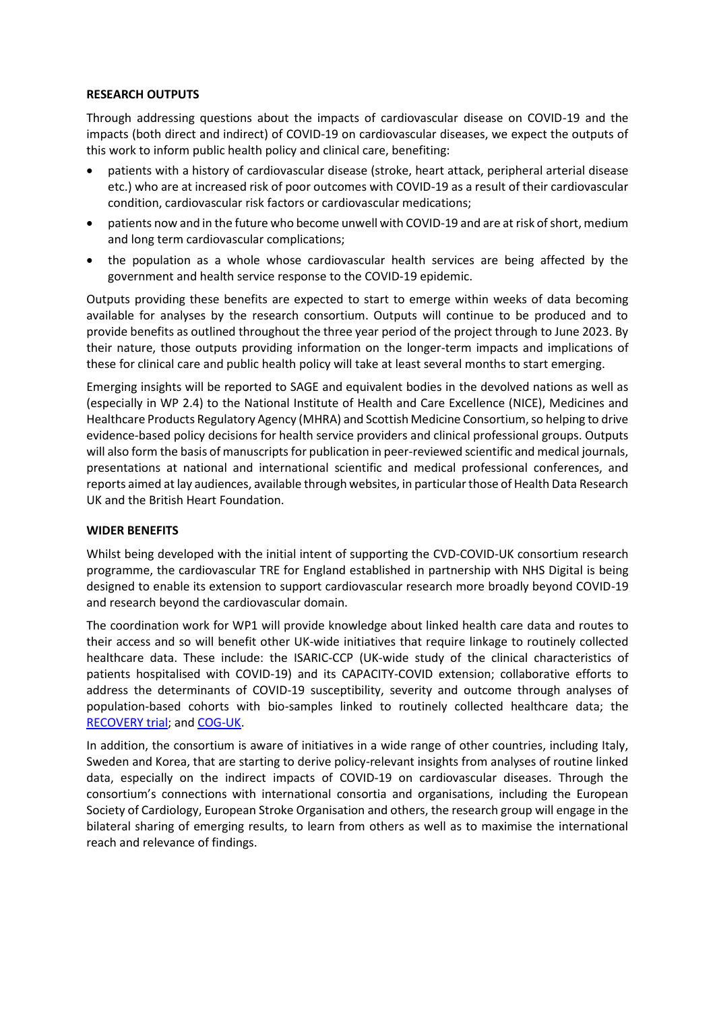#### **RESEARCH OUTPUTS**

Through addressing questions about the impacts of cardiovascular disease on COVID-19 and the impacts (both direct and indirect) of COVID-19 on cardiovascular diseases, we expect the outputs of this work to inform public health policy and clinical care, benefiting:

- patients with a history of cardiovascular disease (stroke, heart attack, peripheral arterial disease etc.) who are at increased risk of poor outcomes with COVID-19 as a result of their cardiovascular condition, cardiovascular risk factors or cardiovascular medications;
- patients now and in the future who become unwell with COVID-19 and are at risk of short, medium and long term cardiovascular complications;
- the population as a whole whose cardiovascular health services are being affected by the government and health service response to the COVID-19 epidemic.

Outputs providing these benefits are expected to start to emerge within weeks of data becoming available for analyses by the research consortium. Outputs will continue to be produced and to provide benefits as outlined throughout the three year period of the project through to June 2023. By their nature, those outputs providing information on the longer-term impacts and implications of these for clinical care and public health policy will take at least several months to start emerging.

Emerging insights will be reported to SAGE and equivalent bodies in the devolved nations as well as (especially in WP 2.4) to the National Institute of Health and Care Excellence (NICE), Medicines and Healthcare Products Regulatory Agency (MHRA) and Scottish Medicine Consortium, so helping to drive evidence-based policy decisions for health service providers and clinical professional groups. Outputs will also form the basis of manuscripts for publication in peer-reviewed scientific and medical journals, presentations at national and international scientific and medical professional conferences, and reports aimed at lay audiences, available through websites, in particular those of Health Data Research UK and the British Heart Foundation.

## **WIDER BENEFITS**

Whilst being developed with the initial intent of supporting the CVD-COVID-UK consortium research programme, the cardiovascular TRE for England established in partnership with NHS Digital is being designed to enable its extension to support cardiovascular research more broadly beyond COVID-19 and research beyond the cardiovascular domain.

The coordination work for WP1 will provide knowledge about linked health care data and routes to their access and so will benefit other UK-wide initiatives that require linkage to routinely collected healthcare data. These include: the ISARIC-CCP (UK-wide study of the clinical characteristics of patients hospitalised with COVID-19) and its CAPACITY-COVID extension; collaborative efforts to address the determinants of COVID-19 susceptibility, severity and outcome through analyses of population-based cohorts with bio-samples linked to routinely collected healthcare data; the [RECOVERY trial;](https://www.recoverytrial.net/) an[d COG-UK.](https://www.cogconsortium.uk/)

In addition, the consortium is aware of initiatives in a wide range of other countries, including Italy, Sweden and Korea, that are starting to derive policy-relevant insights from analyses of routine linked data, especially on the indirect impacts of COVID-19 on cardiovascular diseases. Through the consortium's connections with international consortia and organisations, including the European Society of Cardiology, European Stroke Organisation and others, the research group will engage in the bilateral sharing of emerging results, to learn from others as well as to maximise the international reach and relevance of findings.